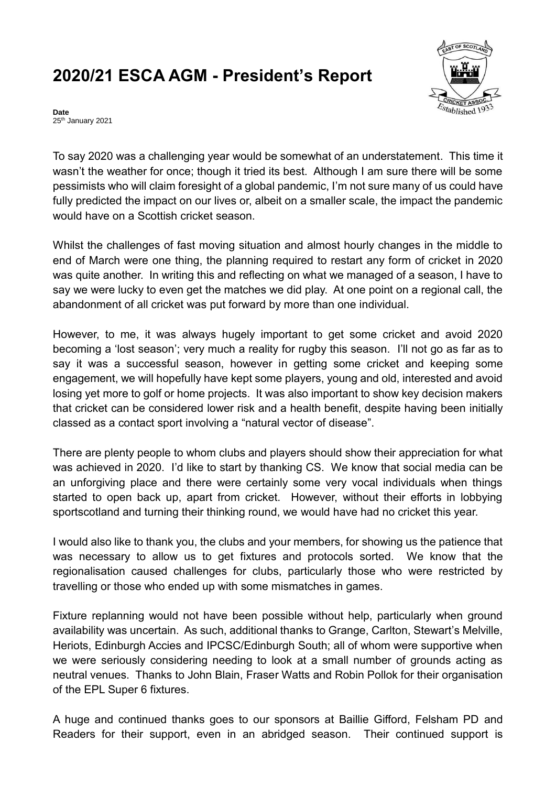## **2020/21 ESCA AGM - President's Report**



**Date** 25<sup>th</sup> January 2021

To say 2020 was a challenging year would be somewhat of an understatement. This time it wasn't the weather for once; though it tried its best. Although I am sure there will be some pessimists who will claim foresight of a global pandemic, I'm not sure many of us could have fully predicted the impact on our lives or, albeit on a smaller scale, the impact the pandemic would have on a Scottish cricket season.

Whilst the challenges of fast moving situation and almost hourly changes in the middle to end of March were one thing, the planning required to restart any form of cricket in 2020 was quite another. In writing this and reflecting on what we managed of a season, I have to say we were lucky to even get the matches we did play. At one point on a regional call, the abandonment of all cricket was put forward by more than one individual.

However, to me, it was always hugely important to get some cricket and avoid 2020 becoming a 'lost season'; very much a reality for rugby this season. I'll not go as far as to say it was a successful season, however in getting some cricket and keeping some engagement, we will hopefully have kept some players, young and old, interested and avoid losing yet more to golf or home projects. It was also important to show key decision makers that cricket can be considered lower risk and a health benefit, despite having been initially classed as a contact sport involving a "natural vector of disease".

There are plenty people to whom clubs and players should show their appreciation for what was achieved in 2020. I'd like to start by thanking CS. We know that social media can be an unforgiving place and there were certainly some very vocal individuals when things started to open back up, apart from cricket. However, without their efforts in lobbying sportscotland and turning their thinking round, we would have had no cricket this year.

I would also like to thank you, the clubs and your members, for showing us the patience that was necessary to allow us to get fixtures and protocols sorted. We know that the regionalisation caused challenges for clubs, particularly those who were restricted by travelling or those who ended up with some mismatches in games.

Fixture replanning would not have been possible without help, particularly when ground availability was uncertain. As such, additional thanks to Grange, Carlton, Stewart's Melville, Heriots, Edinburgh Accies and IPCSC/Edinburgh South; all of whom were supportive when we were seriously considering needing to look at a small number of grounds acting as neutral venues. Thanks to John Blain, Fraser Watts and Robin Pollok for their organisation of the EPL Super 6 fixtures.

A huge and continued thanks goes to our sponsors at Baillie Gifford, Felsham PD and Readers for their support, even in an abridged season. Their continued support is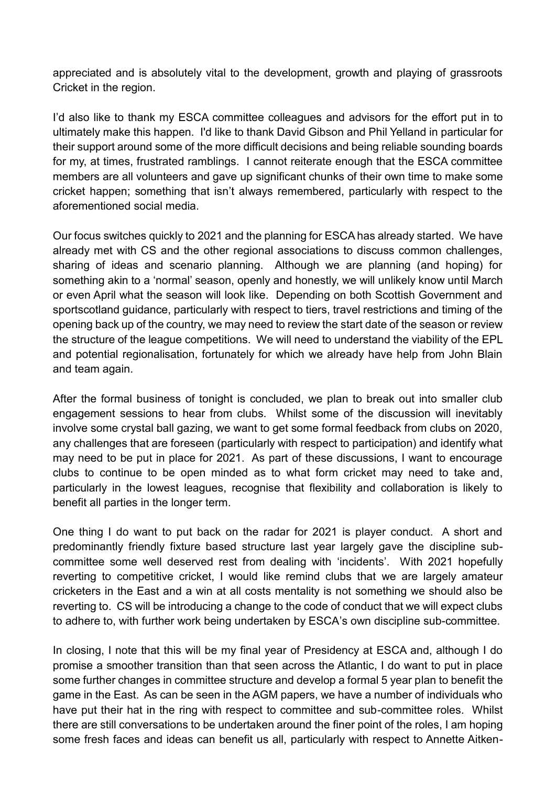appreciated and is absolutely vital to the development, growth and playing of grassroots Cricket in the region.

I'd also like to thank my ESCA committee colleagues and advisors for the effort put in to ultimately make this happen. I'd like to thank David Gibson and Phil Yelland in particular for their support around some of the more difficult decisions and being reliable sounding boards for my, at times, frustrated ramblings. I cannot reiterate enough that the ESCA committee members are all volunteers and gave up significant chunks of their own time to make some cricket happen; something that isn't always remembered, particularly with respect to the aforementioned social media.

Our focus switches quickly to 2021 and the planning for ESCA has already started. We have already met with CS and the other regional associations to discuss common challenges, sharing of ideas and scenario planning. Although we are planning (and hoping) for something akin to a 'normal' season, openly and honestly, we will unlikely know until March or even April what the season will look like. Depending on both Scottish Government and sportscotland guidance, particularly with respect to tiers, travel restrictions and timing of the opening back up of the country, we may need to review the start date of the season or review the structure of the league competitions. We will need to understand the viability of the EPL and potential regionalisation, fortunately for which we already have help from John Blain and team again.

After the formal business of tonight is concluded, we plan to break out into smaller club engagement sessions to hear from clubs. Whilst some of the discussion will inevitably involve some crystal ball gazing, we want to get some formal feedback from clubs on 2020, any challenges that are foreseen (particularly with respect to participation) and identify what may need to be put in place for 2021. As part of these discussions, I want to encourage clubs to continue to be open minded as to what form cricket may need to take and, particularly in the lowest leagues, recognise that flexibility and collaboration is likely to benefit all parties in the longer term.

One thing I do want to put back on the radar for 2021 is player conduct. A short and predominantly friendly fixture based structure last year largely gave the discipline subcommittee some well deserved rest from dealing with 'incidents'. With 2021 hopefully reverting to competitive cricket, I would like remind clubs that we are largely amateur cricketers in the East and a win at all costs mentality is not something we should also be reverting to. CS will be introducing a change to the code of conduct that we will expect clubs to adhere to, with further work being undertaken by ESCA's own discipline sub-committee.

In closing, I note that this will be my final year of Presidency at ESCA and, although I do promise a smoother transition than that seen across the Atlantic, I do want to put in place some further changes in committee structure and develop a formal 5 year plan to benefit the game in the East. As can be seen in the AGM papers, we have a number of individuals who have put their hat in the ring with respect to committee and sub-committee roles. Whilst there are still conversations to be undertaken around the finer point of the roles, I am hoping some fresh faces and ideas can benefit us all, particularly with respect to Annette Aitken